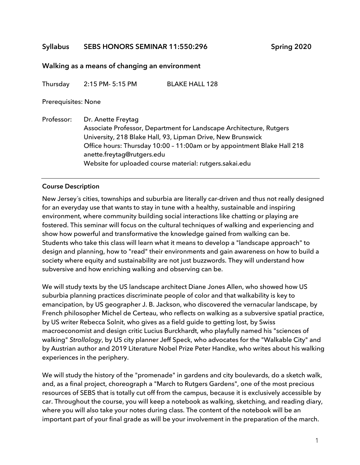## **Syllabus SEBS HONORS SEMINAR 11:550:296 Spring 2020**

#### **Walking as a means of changing an environment**

Thursday 2:15 PM- 5:15 PM BLAKE HALL 128

#### Prerequisites: None

Professor: Dr. Anette Freytag Associate Professor, Department for Landscape Architecture, Rutgers University, 218 Blake Hall, 93, Lipman Drive, New Brunswick Office hours: Thursday 10:00 – 11:00am or by appointment Blake Hall 218 anette.freytag@rutgers.edu Website for uploaded course material: rutgers.sakai.edu

#### **Course Description**

New Jersey´s cities, townships and suburbia are literally car-driven and thus not really designed for an everyday use that wants to stay in tune with a healthy, sustainable and inspiring environment, where community building social interactions like chatting or playing are fostered. This seminar will focus on the cultural techniques of walking and experiencing and show how powerful and transformative the knowledge gained from walking can be. Students who take this class will learn what it means to develop a "landscape approach" to design and planning, how to "read" their environments and gain awareness on how to build a society where equity and sustainability are not just buzzwords. They will understand how subversive and how enriching walking and observing can be.

We will study texts by the US landscape architect Diane Jones Allen, who showed how US suburbia planning practices discriminate people of color and that walkability is key to emancipation, by US geographer J. B. Jackson, who discovered the vernacular landscape, by French philosopher Michel de Certeau, who reflects on walking as a subversive spatial practice, by US writer Rebecca Solnit, who gives as a field guide to getting lost, by Swiss macroeconomist and design critic Lucius Burckhardt, who playfully named his "sciences of walking" *Strollology*, by US city planner Jeff Speck, who advocates for the "Walkable City" and by Austrian author and 2019 Literature Nobel Prize Peter Handke, who writes about his walking experiences in the periphery.

We will study the history of the "promenade" in gardens and city boulevards, do a sketch walk, and, as a final project, choreograph a "March to Rutgers Gardens", one of the most precious resources of SEBS that is totally cut off from the campus, because it is exclusively accessible by car. Throughout the course, you will keep a notebook as walking, sketching, and reading diary, where you will also take your notes during class. The content of the notebook will be an important part of your final grade as will be your involvement in the preparation of the march.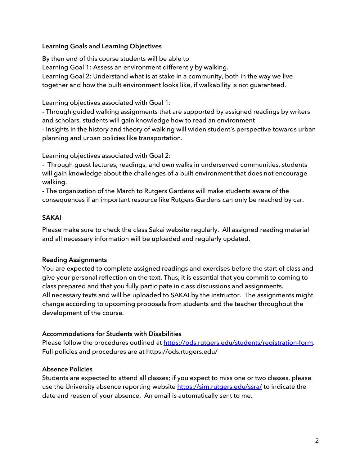#### **Learning Goals and Learning Objectives**

By then end of this course students will be able to Learning Goal 1: Assess an environment differently by walking. Learning Goal 2: Understand what is at stake in a community, both in the way we live together and how the built environment looks like, if walkability is not guaranteed.

Learning objectives associated with Goal 1:

- Through guided walking assignments that are supported by assigned readings by writers and scholars, students will gain knowledge how to read an environment

- Insights in the history and theory of walking will widen student´s perspective towards urban planning and urban policies like transportation.

Learning objectives associated with Goal 2:

- Through guest lectures, readings, and own walks in underserved communities, students will gain knowledge about the challenges of a built environment that does not encourage walking.

- The organization of the March to Rutgers Gardens will make students aware of the consequences if an important resource like Rutgers Gardens can only be reached by car.

#### **SAKAI**

Please make sure to check the class Sakai website regularly. All assigned reading material and all necessary information will be uploaded and regularly updated.

## **Reading Assignments**

You are expected to complete assigned readings and exercises before the start of class and give your personal reflection on the text. Thus, it is essential that you commit to coming to class prepared and that you fully participate in class discussions and assignments. All necessary texts and will be uploaded to SAKAI by the instructor. The assignments might change according to upcoming proposals from students and the teacher throughout the development of the course.

## **Accommodations for Students with Disabilities**

Please follow the procedures outlined at https://ods.rutgers.edu/students/registration-form. Full policies and procedures are at https://ods.rtugers.edu/

#### **Absence Policies**

Students are expected to attend all classes; if you expect to miss one or two classes, please use the University absence reporting website https://sim.rutgers.edu/ssra/ to indicate the date and reason of your absence. An email is automatically sent to me.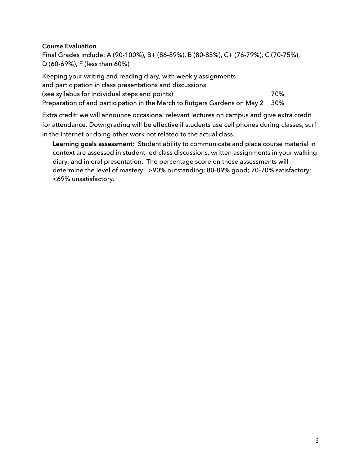#### **Course Evaluation**

Final Grades include: A (90-100%), B+ (86-89%), B (80-85%), C+ (76-79%), C (70-75%), D (60-69%), F (less than 60%)

Keeping your writing and reading diary, with weekly assignments and participation in class presentations and discussions (see syllabus for individual steps and points)  $70\%$ Preparation of and participation in the March to Rutgers Gardens on May 2 30%

Extra credit: we will announce occasional relevant lectures on campus and give extra credit for attendance. Downgrading will be effective if students use cell phones during classes, surf in the Internet or doing other work not related to the actual class.

**Learning goals assessment:** Student ability to communicate and place course material in context are assessed in student-led class discussions, written assignments in your walking diary, and in oral presentation. The percentage score on these assessments will determine the level of mastery: >90% outstanding; 80-89% good; 70-70% satisfactory; <69% unsatisfactory.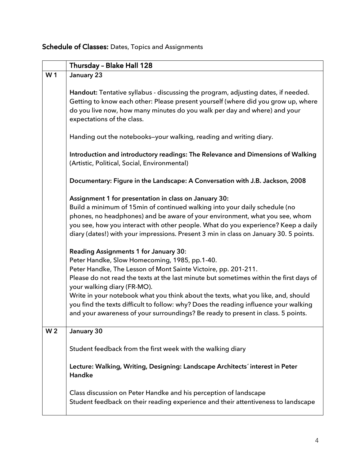# Schedule of Classes: Dates, Topics and Assignments

|                | Thursday - Blake Hall 128                                                                                                                                                                                                                                                                                                                                                                                                                                                                                                                                 |
|----------------|-----------------------------------------------------------------------------------------------------------------------------------------------------------------------------------------------------------------------------------------------------------------------------------------------------------------------------------------------------------------------------------------------------------------------------------------------------------------------------------------------------------------------------------------------------------|
| W <sub>1</sub> | January 23                                                                                                                                                                                                                                                                                                                                                                                                                                                                                                                                                |
|                | Handout: Tentative syllabus - discussing the program, adjusting dates, if needed.<br>Getting to know each other: Please present yourself (where did you grow up, where<br>do you live now, how many minutes do you walk per day and where) and your<br>expectations of the class.                                                                                                                                                                                                                                                                         |
|                | Handing out the notebooks-your walking, reading and writing diary.                                                                                                                                                                                                                                                                                                                                                                                                                                                                                        |
|                | Introduction and introductory readings: The Relevance and Dimensions of Walking<br>(Artistic, Political, Social, Environmental)                                                                                                                                                                                                                                                                                                                                                                                                                           |
|                | Documentary: Figure in the Landscape: A Conversation with J.B. Jackson, 2008                                                                                                                                                                                                                                                                                                                                                                                                                                                                              |
|                | Assignment 1 for presentation in class on January 30:<br>Build a minimum of 15min of continued walking into your daily schedule (no<br>phones, no headphones) and be aware of your environment, what you see, whom<br>you see, how you interact with other people. What do you experience? Keep a daily<br>diary (dates!) with your impressions. Present 3 min in class on January 30. 5 points.                                                                                                                                                          |
|                | <b>Reading Assignments 1 for January 30:</b><br>Peter Handke, Slow Homecoming, 1985, pp.1-40.<br>Peter Handke, The Lesson of Mont Sainte Victoire, pp. 201-211.<br>Please do not read the texts at the last minute but sometimes within the first days of<br>your walking diary (FR-MO).<br>Write in your notebook what you think about the texts, what you like, and, should<br>you find the texts difficult to follow: why? Does the reading influence your walking<br>and your awareness of your surroundings? Be ready to present in class. 5 points. |
| W <sub>2</sub> | January 30                                                                                                                                                                                                                                                                                                                                                                                                                                                                                                                                                |
|                | Student feedback from the first week with the walking diary                                                                                                                                                                                                                                                                                                                                                                                                                                                                                               |
|                | Lecture: Walking, Writing, Designing: Landscape Architects' interest in Peter<br>Handke                                                                                                                                                                                                                                                                                                                                                                                                                                                                   |
|                | Class discussion on Peter Handke and his perception of landscape<br>Student feedback on their reading experience and their attentiveness to landscape                                                                                                                                                                                                                                                                                                                                                                                                     |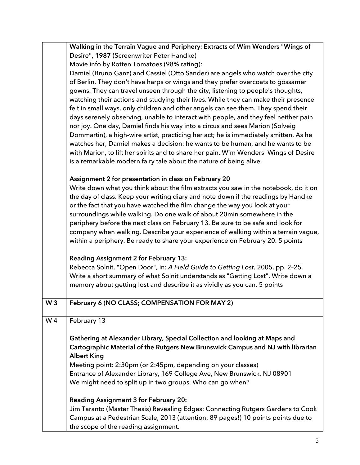|                | Walking in the Terrain Vague and Periphery: Extracts of Wim Wenders "Wings of                                                                                                                                                                                                                                                                                                                                                                                                                                                                                                                                                                        |
|----------------|------------------------------------------------------------------------------------------------------------------------------------------------------------------------------------------------------------------------------------------------------------------------------------------------------------------------------------------------------------------------------------------------------------------------------------------------------------------------------------------------------------------------------------------------------------------------------------------------------------------------------------------------------|
|                | Desire", 1987 (Screenwriter Peter Handke)                                                                                                                                                                                                                                                                                                                                                                                                                                                                                                                                                                                                            |
|                | Movie info by Rotten Tomatoes (98% rating):                                                                                                                                                                                                                                                                                                                                                                                                                                                                                                                                                                                                          |
|                | Damiel (Bruno Ganz) and Cassiel (Otto Sander) are angels who watch over the city<br>of Berlin. They don't have harps or wings and they prefer overcoats to gossamer<br>gowns. They can travel unseen through the city, listening to people's thoughts,<br>watching their actions and studying their lives. While they can make their presence                                                                                                                                                                                                                                                                                                        |
|                | felt in small ways, only children and other angels can see them. They spend their<br>days serenely observing, unable to interact with people, and they feel neither pain<br>nor joy. One day, Damiel finds his way into a circus and sees Marion (Solveig<br>Dommartin), a high-wire artist, practicing her act; he is immediately smitten. As he                                                                                                                                                                                                                                                                                                    |
|                | watches her, Damiel makes a decision: he wants to be human, and he wants to be<br>with Marion, to lift her spirits and to share her pain. Wim Wenders' Wings of Desire<br>is a remarkable modern fairy tale about the nature of being alive.                                                                                                                                                                                                                                                                                                                                                                                                         |
|                | Assignment 2 for presentation in class on February 20<br>Write down what you think about the film extracts you saw in the notebook, do it on<br>the day of class. Keep your writing diary and note down if the readings by Handke<br>or the fact that you have watched the film change the way you look at your<br>surroundings while walking. Do one walk of about 20min somewhere in the<br>periphery before the next class on February 13. Be sure to be safe and look for<br>company when walking. Describe your experience of walking within a terrain vague,<br>within a periphery. Be ready to share your experience on February 20. 5 points |
|                | Reading Assignment 2 for February 13:<br>Rebecca Solnit, "Open Door", in: A Field Guide to Getting Lost, 2005, pp. 2-25.<br>Write a short summary of what Solnit understands as "Getting Lost". Write down a<br>memory about getting lost and describe it as vividly as you can. 5 points                                                                                                                                                                                                                                                                                                                                                            |
| W <sub>3</sub> | February 6 (NO CLASS; COMPENSATION FOR MAY 2)                                                                                                                                                                                                                                                                                                                                                                                                                                                                                                                                                                                                        |
| W <sub>4</sub> | February 13                                                                                                                                                                                                                                                                                                                                                                                                                                                                                                                                                                                                                                          |
|                | Gathering at Alexander Library, Special Collection and looking at Maps and<br>Cartographic Material of the Rutgers New Brunswick Campus and NJ with librarian<br><b>Albert King</b>                                                                                                                                                                                                                                                                                                                                                                                                                                                                  |
|                | Meeting point: 2:30pm (or 2:45pm, depending on your classes)                                                                                                                                                                                                                                                                                                                                                                                                                                                                                                                                                                                         |
|                | Entrance of Alexander Library, 169 College Ave, New Brunswick, NJ 08901<br>We might need to split up in two groups. Who can go when?                                                                                                                                                                                                                                                                                                                                                                                                                                                                                                                 |
|                | <b>Reading Assignment 3 for February 20:</b>                                                                                                                                                                                                                                                                                                                                                                                                                                                                                                                                                                                                         |
|                | Jim Taranto (Master Thesis) Revealing Edges: Connecting Rutgers Gardens to Cook<br>Campus at a Pedestrian Scale, 2013 (attention: 89 pages!) 10 points points due to<br>the scope of the reading assignment.                                                                                                                                                                                                                                                                                                                                                                                                                                         |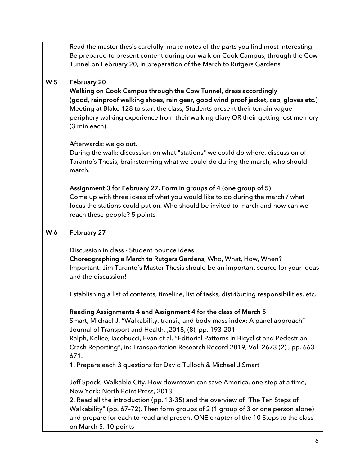| Read the master thesis carefully; make notes of the parts you find most interesting.                                                                                    |
|-------------------------------------------------------------------------------------------------------------------------------------------------------------------------|
| Be prepared to present content during our walk on Cook Campus, through the Cow                                                                                          |
| Tunnel on February 20, in preparation of the March to Rutgers Gardens                                                                                                   |
|                                                                                                                                                                         |
| February 20                                                                                                                                                             |
| Walking on Cook Campus through the Cow Tunnel, dress accordingly                                                                                                        |
| (good, rainproof walking shoes, rain gear, good wind proof jacket, cap, gloves etc.)                                                                                    |
| Meeting at Blake 128 to start the class; Students present their terrain vague -                                                                                         |
| periphery walking experience from their walking diary OR their getting lost memory                                                                                      |
| (3 min each)                                                                                                                                                            |
|                                                                                                                                                                         |
| Afterwards: we go out.                                                                                                                                                  |
| During the walk: discussion on what "stations" we could do where, discussion of                                                                                         |
| Taranto's Thesis, brainstorming what we could do during the march, who should                                                                                           |
| march.                                                                                                                                                                  |
|                                                                                                                                                                         |
| Assignment 3 for February 27. Form in groups of 4 (one group of 5)                                                                                                      |
| Come up with three ideas of what you would like to do during the march / what                                                                                           |
| focus the stations could put on. Who should be invited to march and how can we                                                                                          |
| reach these people? 5 points                                                                                                                                            |
|                                                                                                                                                                         |
| February 27                                                                                                                                                             |
|                                                                                                                                                                         |
| Discussion in class - Student bounce ideas                                                                                                                              |
| Choreographing a March to Rutgers Gardens, Who, What, How, When?                                                                                                        |
| Important: Jim Taranto's Master Thesis should be an important source for your ideas                                                                                     |
| and the discussion!                                                                                                                                                     |
|                                                                                                                                                                         |
| Establishing a list of contents, timeline, list of tasks, distributing responsibilities, etc.                                                                           |
|                                                                                                                                                                         |
| Reading Assignments 4 and Assignment 4 for the class of March 5                                                                                                         |
| Smart, Michael J. "Walkability, transit, and body mass index: A panel approach"                                                                                         |
| Journal of Transport and Health, , 2018, (8), pp. 193-201.                                                                                                              |
| Ralph, Kelice, Iacobucci, Evan et al. "Editorial Patterns in Bicyclist and Pedestrian                                                                                   |
|                                                                                                                                                                         |
|                                                                                                                                                                         |
| Crash Reporting", in: Transportation Research Record 2019, Vol. 2673 (2), pp. 663-                                                                                      |
| 671.                                                                                                                                                                    |
| 1. Prepare each 3 questions for David Tulloch & Michael J Smart                                                                                                         |
|                                                                                                                                                                         |
| Jeff Speck, Walkable City. How downtown can save America, one step at a time,                                                                                           |
| New York: North Point Press, 2013                                                                                                                                       |
| 2. Read all the introduction (pp. 13-35) and the overview of "The Ten Steps of                                                                                          |
| Walkability" (pp. 67-72). Then form groups of 2 (1 group of 3 or one person alone)<br>and prepare for each to read and present ONE chapter of the 10 Steps to the class |
|                                                                                                                                                                         |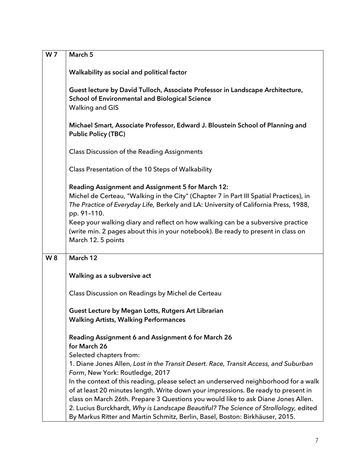| W <sub>7</sub> | March 5                                                                                                                                                                                                                                                                                                                                                                                                                                         |
|----------------|-------------------------------------------------------------------------------------------------------------------------------------------------------------------------------------------------------------------------------------------------------------------------------------------------------------------------------------------------------------------------------------------------------------------------------------------------|
|                | Walkability as social and political factor                                                                                                                                                                                                                                                                                                                                                                                                      |
|                | Guest lecture by David Tulloch, Associate Professor in Landscape Architecture,<br><b>School of Environmental and Biological Science</b><br><b>Walking and GIS</b>                                                                                                                                                                                                                                                                               |
|                | Michael Smart, Associate Professor, Edward J. Bloustein School of Planning and<br><b>Public Policy (TBC)</b>                                                                                                                                                                                                                                                                                                                                    |
|                | <b>Class Discussion of the Reading Assignments</b>                                                                                                                                                                                                                                                                                                                                                                                              |
|                | Class Presentation of the 10 Steps of Walkability                                                                                                                                                                                                                                                                                                                                                                                               |
|                | Reading Assignment and Assignment 5 for March 12:<br>Michel de Certeau, "Walking in the City" (Chapter 7 in Part III Spatial Practices), in<br>The Practice of Everyday Life, Berkely and LA: University of California Press, 1988,<br>pp. 91-110.<br>Keep your walking diary and reflect on how walking can be a subversive practice<br>(write min. 2 pages about this in your notebook). Be ready to present in class on<br>March 12.5 points |
| W 8            | March 12                                                                                                                                                                                                                                                                                                                                                                                                                                        |
|                |                                                                                                                                                                                                                                                                                                                                                                                                                                                 |
|                | Walking as a subversive act                                                                                                                                                                                                                                                                                                                                                                                                                     |
|                | Class Discussion on Readings by Michel de Certeau                                                                                                                                                                                                                                                                                                                                                                                               |
|                | Guest Lecture by Megan Lotts, Rutgers Art Librarian                                                                                                                                                                                                                                                                                                                                                                                             |
|                | <b>Walking Artists, Walking Performances</b>                                                                                                                                                                                                                                                                                                                                                                                                    |
|                | Reading Assignment 6 and Assignment 6 for March 26<br>for March 26                                                                                                                                                                                                                                                                                                                                                                              |
|                | Selected chapters from:<br>1. Diane Jones Allen, Lost in the Transit Desert. Race, Transit Access, and Suburban                                                                                                                                                                                                                                                                                                                                 |
|                | Form, New York: Routledge, 2017                                                                                                                                                                                                                                                                                                                                                                                                                 |
|                | In the context of this reading, please select an underserved neighborhood for a walk                                                                                                                                                                                                                                                                                                                                                            |
|                | of at least 20 minutes length. Write down your impressions. Be ready to present in                                                                                                                                                                                                                                                                                                                                                              |
|                | class on March 26th. Prepare 3 Questions you would like to ask Diane Jones Allen.                                                                                                                                                                                                                                                                                                                                                               |
|                | 2. Lucius Burckhardt, Why is Landscape Beautiful? The Science of Strollology, edited<br>By Markus Ritter and Martin Schmitz, Berlin, Basel, Boston: Birkhäuser, 2015.                                                                                                                                                                                                                                                                           |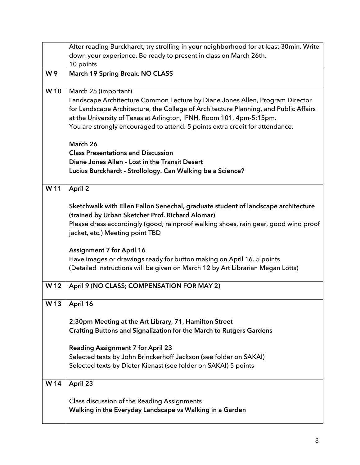|                 | After reading Burckhardt, try strolling in your neighborhood for at least 30min. Write |
|-----------------|----------------------------------------------------------------------------------------|
|                 | down your experience. Be ready to present in class on March 26th.                      |
|                 | 10 points                                                                              |
| W9              | March 19 Spring Break. NO CLASS                                                        |
| W10             | March 25 (important)                                                                   |
|                 | Landscape Architecture Common Lecture by Diane Jones Allen, Program Director           |
|                 | for Landscape Architecture, the College of Architecture Planning, and Public Affairs   |
|                 | at the University of Texas at Arlington, IFNH, Room 101, 4pm-5:15pm.                   |
|                 | You are strongly encouraged to attend. 5 points extra credit for attendance.           |
|                 | March 26                                                                               |
|                 | <b>Class Presentations and Discussion</b>                                              |
|                 | Diane Jones Allen - Lost in the Transit Desert                                         |
|                 | Lucius Burckhardt - Strollology. Can Walking be a Science?                             |
| W 11            | April 2                                                                                |
|                 | Sketchwalk with Ellen Fallon Senechal, graduate student of landscape architecture      |
|                 | (trained by Urban Sketcher Prof. Richard Alomar)                                       |
|                 | Please dress accordingly (good, rainproof walking shoes, rain gear, good wind proof    |
|                 | jacket, etc.) Meeting point TBD                                                        |
|                 | <b>Assignment 7 for April 16</b>                                                       |
|                 | Have images or drawings ready for button making on April 16. 5 points                  |
|                 | (Detailed instructions will be given on March 12 by Art Librarian Megan Lotts)         |
| W12             | April 9 (NO CLASS; COMPENSATION FOR MAY 2)                                             |
| W <sub>13</sub> | April 16                                                                               |
|                 | 2:30pm Meeting at the Art Library, 71, Hamilton Street                                 |
|                 | Crafting Buttons and Signalization for the March to Rutgers Gardens                    |
|                 |                                                                                        |
|                 | <b>Reading Assignment 7 for April 23</b>                                               |
|                 | Selected texts by John Brinckerhoff Jackson (see folder on SAKAI)                      |
|                 | Selected texts by Dieter Kienast (see folder on SAKAI) 5 points                        |
| W 14            | April 23                                                                               |
|                 | Class discussion of the Reading Assignments                                            |
|                 | Walking in the Everyday Landscape vs Walking in a Garden                               |
|                 |                                                                                        |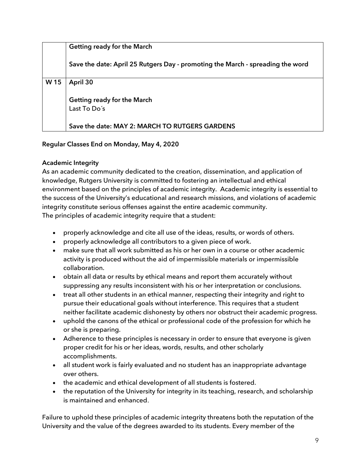|                 | Getting ready for the March                                                    |
|-----------------|--------------------------------------------------------------------------------|
|                 | Save the date: April 25 Rutgers Day - promoting the March - spreading the word |
| W <sub>15</sub> | April 30                                                                       |
|                 | Getting ready for the March<br>Last To Do's                                    |
|                 | Save the date: MAY 2: MARCH TO RUTGERS GARDENS                                 |

# **Regular Classes End on Monday, May 4, 2020**

# **Academic Integrity**

As an academic community dedicated to the creation, dissemination, and application of knowledge, Rutgers University is committed to fostering an intellectual and ethical environment based on the principles of academic integrity. Academic integrity is essential to the success of the University's educational and research missions, and violations of academic integrity constitute serious offenses against the entire academic community. The principles of academic integrity require that a student:

- properly acknowledge and cite all use of the ideas, results, or words of others.
- properly acknowledge all contributors to a given piece of work.
- make sure that all work submitted as his or her own in a course or other academic activity is produced without the aid of impermissible materials or impermissible collaboration.
- obtain all data or results by ethical means and report them accurately without suppressing any results inconsistent with his or her interpretation or conclusions.
- treat all other students in an ethical manner, respecting their integrity and right to pursue their educational goals without interference. This requires that a student neither facilitate academic dishonesty by others nor obstruct their academic progress.
- uphold the canons of the ethical or professional code of the profession for which he or she is preparing.
- Adherence to these principles is necessary in order to ensure that everyone is given proper credit for his or her ideas, words, results, and other scholarly accomplishments.
- all student work is fairly evaluated and no student has an inappropriate advantage over others.
- the academic and ethical development of all students is fostered.
- the reputation of the University for integrity in its teaching, research, and scholarship is maintained and enhanced.

Failure to uphold these principles of academic integrity threatens both the reputation of the University and the value of the degrees awarded to its students. Every member of the